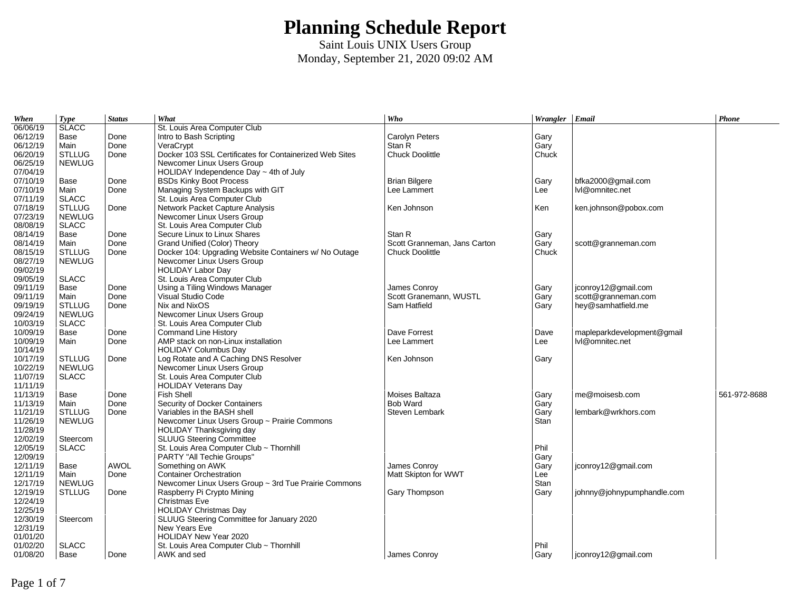| When     | <b>Type</b>   | <b>Status</b> | What                                                    | Who                          | Wrangler Email |                            | Phone        |
|----------|---------------|---------------|---------------------------------------------------------|------------------------------|----------------|----------------------------|--------------|
| 06/06/19 | <b>SLACC</b>  |               | St. Louis Area Computer Club                            |                              |                |                            |              |
| 06/12/19 | Base          | Done          | Intro to Bash Scripting                                 | <b>Carolyn Peters</b>        | Gary           |                            |              |
| 06/12/19 | Main          | Done          | VeraCrypt                                               | Stan R                       | Gary           |                            |              |
| 06/20/19 | <b>STLLUG</b> | Done          | Docker 103 SSL Certificates for Containerized Web Sites | <b>Chuck Doolittle</b>       | Chuck          |                            |              |
| 06/25/19 | <b>NEWLUG</b> |               | Newcomer Linux Users Group                              |                              |                |                            |              |
| 07/04/19 |               |               | HOLIDAY Independence Day $\sim$ 4th of July             |                              |                |                            |              |
| 07/10/19 | Base          | Done          | <b>BSDs Kinky Boot Process</b>                          | <b>Brian Bilgere</b>         | Gary           | bfka2000@gmail.com         |              |
| 07/10/19 | Main          | Done          | Managing System Backups with GIT                        | Lee Lammert                  | Lee            | lvl@omnitec.net            |              |
| 07/11/19 | <b>SLACC</b>  |               | St. Louis Area Computer Club                            |                              |                |                            |              |
| 07/18/19 | <b>STLLUG</b> | Done          | Network Packet Capture Analysis                         | Ken Johnson                  | Ken            | ken.johnson@pobox.com      |              |
| 07/23/19 | <b>NEWLUG</b> |               | Newcomer Linux Users Group                              |                              |                |                            |              |
| 08/08/19 | <b>SLACC</b>  |               | St. Louis Area Computer Club                            |                              |                |                            |              |
| 08/14/19 | Base          | Done          | Secure Linux to Linux Shares                            | Stan R                       | Gary           |                            |              |
| 08/14/19 | Main          | Done          | Grand Unified (Color) Theory                            | Scott Granneman, Jans Carton | Gary           | scott@granneman.com        |              |
| 08/15/19 | <b>STLLUG</b> | Done          | Docker 104: Upgrading Website Containers w/ No Outage   | <b>Chuck Doolittle</b>       | Chuck          |                            |              |
| 08/27/19 | <b>NEWLUG</b> |               | Newcomer Linux Users Group                              |                              |                |                            |              |
| 09/02/19 |               |               | <b>HOLIDAY Labor Day</b>                                |                              |                |                            |              |
| 09/05/19 | <b>SLACC</b>  |               | St. Louis Area Computer Club                            |                              |                |                            |              |
| 09/11/19 | Base          | Done          | Using a Tiling Windows Manager                          | James Conroy                 | Gary           | jconroy12@gmail.com        |              |
| 09/11/19 | Main          | Done          | Visual Studio Code                                      | Scott Granemann, WUSTL       | Gary           | scott@granneman.com        |              |
| 09/19/19 | <b>STLLUG</b> | Done          | Nix and NixOS                                           | Sam Hatfield                 | Gary           | hey@samhatfield.me         |              |
| 09/24/19 | <b>NEWLUG</b> |               | Newcomer Linux Users Group                              |                              |                |                            |              |
| 10/03/19 | <b>SLACC</b>  |               | St. Louis Area Computer Club                            |                              |                |                            |              |
| 10/09/19 | Base          | Done          | <b>Command Line History</b>                             | Dave Forrest                 | Dave           | mapleparkdevelopment@gmail |              |
| 10/09/19 | Main          | Done          | AMP stack on non-Linux installation                     | Lee Lammert                  | Lee            | lvl@omnitec.net            |              |
| 10/14/19 |               |               | <b>HOLIDAY Columbus Day</b>                             |                              |                |                            |              |
| 10/17/19 | <b>STLLUG</b> | Done          | Log Rotate and A Caching DNS Resolver                   | Ken Johnson                  | Gary           |                            |              |
| 10/22/19 | <b>NEWLUG</b> |               | Newcomer Linux Users Group                              |                              |                |                            |              |
| 11/07/19 | <b>SLACC</b>  |               | St. Louis Area Computer Club                            |                              |                |                            |              |
| 11/11/19 |               |               | <b>HOLIDAY Veterans Day</b>                             |                              |                |                            |              |
| 11/13/19 | Base          | Done          | Fish Shell                                              | Moises Baltaza               | Gary           | me@moisesb.com             | 561-972-8688 |
| 11/13/19 | Main          | Done          | Security of Docker Containers                           | <b>Bob Ward</b>              | Gary           |                            |              |
| 11/21/19 | <b>STLLUG</b> | Done          | Variables in the BASH shell                             | Steven Lembark               | Gary           | lembark@wrkhors.com        |              |
| 11/26/19 | <b>NEWLUG</b> |               | Newcomer Linux Users Group ~ Prairie Commons            |                              | Stan           |                            |              |
| 11/28/19 |               |               | <b>HOLIDAY Thanksgiving day</b>                         |                              |                |                            |              |
| 12/02/19 | Steercom      |               | <b>SLUUG Steering Committee</b>                         |                              |                |                            |              |
| 12/05/19 | <b>SLACC</b>  |               | St. Louis Area Computer Club ~ Thornhill                |                              | Phil           |                            |              |
| 12/09/19 |               |               | PARTY "All Techie Groups"                               |                              | Gary           |                            |              |
| 12/11/19 | Base          | <b>AWOL</b>   | Something on AWK                                        | James Conroy                 | Gary           | jconroy12@gmail.com        |              |
| 12/11/19 | Main          | Done          | <b>Container Orchestration</b>                          | Matt Skipton for WWT         | Lee            |                            |              |
| 12/17/19 | <b>NEWLUG</b> |               | Newcomer Linux Users Group ~ 3rd Tue Prairie Commons    |                              | Stan           |                            |              |
| 12/19/19 | <b>STLLUG</b> | Done          | Raspberry Pi Crypto Mining                              | Gary Thompson                | Gary           | johnny@johnypumphandle.com |              |
| 12/24/19 |               |               | Christmas Eve                                           |                              |                |                            |              |
| 12/25/19 |               |               | <b>HOLIDAY Christmas Day</b>                            |                              |                |                            |              |
| 12/30/19 | Steercom      |               | SLUUG Steering Committee for January 2020               |                              |                |                            |              |
| 12/31/19 |               |               | New Years Eve                                           |                              |                |                            |              |
| 01/01/20 |               |               | HOLIDAY New Year 2020                                   |                              |                |                            |              |
| 01/02/20 | <b>SLACC</b>  |               | St. Louis Area Computer Club ~ Thornhill                |                              | Phil           |                            |              |
| 01/08/20 | Base          | Done          | AWK and sed                                             | James Conroy                 | Gary           | jconroy12@gmail.com        |              |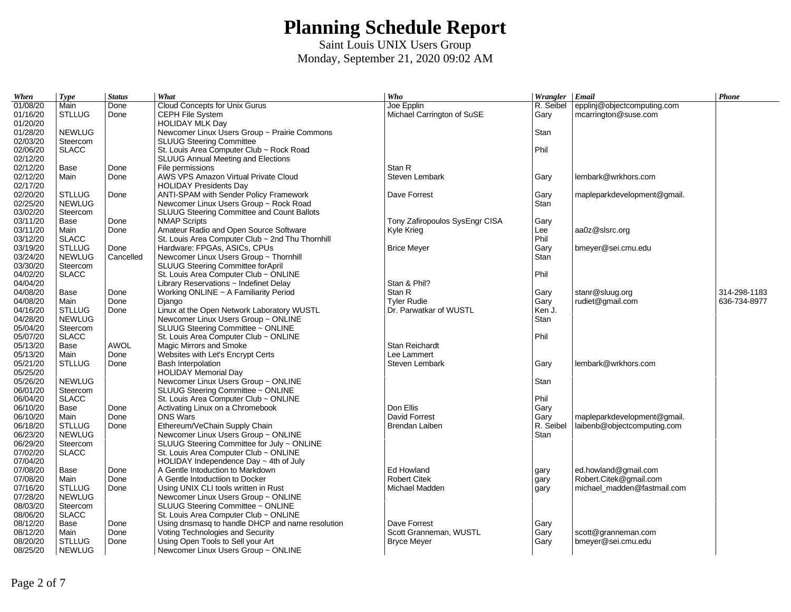| When     | <b>Type</b>   | <b>Status</b> | What                                             | Who                            | Wrangler Email |                             | Phone        |
|----------|---------------|---------------|--------------------------------------------------|--------------------------------|----------------|-----------------------------|--------------|
| 01/08/20 | Main          | Done          | <b>Cloud Concepts for Unix Gurus</b>             | Joe Epplin                     | R. Seibel      | epplinj@objectcomputing.com |              |
| 01/16/20 | <b>STLLUG</b> | Done          | CEPH File System                                 | Michael Carrington of SuSE     | Gary           | mcarrington@suse.com        |              |
| 01/20/20 |               |               | <b>HOLIDAY MLK Day</b>                           |                                |                |                             |              |
| 01/28/20 | <b>NEWLUG</b> |               | Newcomer Linux Users Group ~ Prairie Commons     |                                | Stan           |                             |              |
| 02/03/20 | Steercom      |               | <b>SLUUG Steering Committee</b>                  |                                |                |                             |              |
| 02/06/20 | <b>SLACC</b>  |               | St. Louis Area Computer Club ~ Rock Road         |                                | Phil           |                             |              |
| 02/12/20 |               |               | <b>SLUUG Annual Meeting and Elections</b>        |                                |                |                             |              |
| 02/12/20 | Base          | Done          | File permissions                                 | Stan R                         |                |                             |              |
| 02/12/20 | Main          | Done          | AWS VPS Amazon Virtual Private Cloud             | Steven Lembark                 | Gary           | lembark@wrkhors.com         |              |
| 02/17/20 |               |               | <b>HOLIDAY Presidents Day</b>                    |                                |                |                             |              |
| 02/20/20 | <b>STLLUG</b> | Done          | ANTI-SPAM with Sender Policy Framework           | Dave Forrest                   | Gary           | mapleparkdevelopment@gmail. |              |
| 02/25/20 | <b>NEWLUG</b> |               | Newcomer Linux Users Group ~ Rock Road           |                                | Stan           |                             |              |
| 03/02/20 | Steercom      |               | SLUUG Steering Committee and Count Ballots       |                                |                |                             |              |
| 03/11/20 | Base          | Done          | <b>NMAP Scripts</b>                              | Tony Zafiropoulos SysEngr CISA | Gary           |                             |              |
| 03/11/20 | Main          | Done          | Amateur Radio and Open Source Software           | Kyle Krieg                     | Lee            | aa0z@slsrc.org              |              |
| 03/12/20 | <b>SLACC</b>  |               | St. Louis Area Computer Club ~ 2nd Thu Thornhill |                                | Phil           |                             |              |
| 03/19/20 | <b>STLLUG</b> | Done          | Hardware: FPGAs, ASICs, CPUs                     | <b>Brice Meyer</b>             | Gary           | bmeyer@sei.cmu.edu          |              |
| 03/24/20 | <b>NEWLUG</b> | Cancelled     | Newcomer Linux Users Group ~ Thornhill           |                                | Stan           |                             |              |
| 03/30/20 | Steercom      |               | SLUUG Steering Committee forApril                |                                |                |                             |              |
| 04/02/20 | <b>SLACC</b>  |               | St. Louis Area Computer Club ~ ONLINE            |                                | Phil           |                             |              |
| 04/04/20 |               |               | Library Reservations ~ Indefinet Delay           | Stan & Phil?                   |                |                             |              |
| 04/08/20 | Base          | Done          | Working ONLINE ~ A Familiarity Period            | Stan R                         | Gary           | stanr@sluug.org             | 314-298-1183 |
| 04/08/20 | Main          | Done          | Diango                                           | <b>Tyler Rudie</b>             | Gary           | rudiet@gmail.com            | 636-734-8977 |
| 04/16/20 | <b>STLLUG</b> | Done          | Linux at the Open Network Laboratory WUSTL       | Dr. Parwatkar of WUSTL         | Ken J.         |                             |              |
| 04/28/20 | <b>NEWLUG</b> |               | Newcomer Linux Users Group ~ ONLINE              |                                | Stan           |                             |              |
| 05/04/20 | Steercom      |               | SLUUG Steering Committee ~ ONLINE                |                                |                |                             |              |
| 05/07/20 | <b>SLACC</b>  |               | St. Louis Area Computer Club ~ ONLINE            |                                | Phil           |                             |              |
| 05/13/20 | Base          | <b>AWOL</b>   | Magic Mirrors and Smoke                          | Stan Reichardt                 |                |                             |              |
| 05/13/20 | Main          | Done          | Websites with Let's Encrypt Certs                | Lee Lammert                    |                |                             |              |
| 05/21/20 | <b>STLLUG</b> | Done          | <b>Bash Interpolation</b>                        | Steven Lembark                 | Gary           | lembark@wrkhors.com         |              |
| 05/25/20 |               |               | <b>HOLIDAY Memorial Day</b>                      |                                |                |                             |              |
| 05/26/20 | <b>NEWLUG</b> |               | Newcomer Linux Users Group ~ ONLINE              |                                | Stan           |                             |              |
| 06/01/20 | Steercom      |               | SLUUG Steering Committee ~ ONLINE                |                                |                |                             |              |
| 06/04/20 | <b>SLACC</b>  |               | St. Louis Area Computer Club ~ ONLINE            |                                | Phil           |                             |              |
| 06/10/20 | Base          | Done          | Activating Linux on a Chromebook                 | Don Ellis                      | Gary           |                             |              |
| 06/10/20 | Main          | Done          | <b>DNS Wars</b>                                  | David Forrest                  | Garv           | mapleparkdevelopment@gmail. |              |
| 06/18/20 | <b>STLLUG</b> | Done          | Ethereum/VeChain Supply Chain                    | Brendan Laiben                 | R. Seibel      | laibenb@objectcomputing.com |              |
| 06/23/20 | <b>NEWLUG</b> |               | Newcomer Linux Users Group ~ ONLINE              |                                | Stan           |                             |              |
| 06/29/20 | Steercom      |               | SLUUG Steering Committee for July ~ ONLINE       |                                |                |                             |              |
| 07/02/20 | <b>SLACC</b>  |               | St. Louis Area Computer Club ~ ONLINE            |                                |                |                             |              |
| 07/04/20 |               |               | HOLIDAY Independence Day ~ 4th of July           |                                |                |                             |              |
| 07/08/20 | Base          | Done          | A Gentle Intoduction to Markdown                 | Ed Howland                     | gary           | ed.howland@gmail.com        |              |
| 07/08/20 | Main          | Done          | A Gentle Intoductiion to Docker                  | <b>Robert Citek</b>            | gary           | Robert.Citek@gmail.com      |              |
| 07/16/20 | <b>STLLUG</b> | Done          | Using UNIX CLI tools written in Rust             | Michael Madden                 | gary           | michael madden@fastmail.com |              |
| 07/28/20 | <b>NEWLUG</b> |               | Newcomer Linux Users Group ~ ONLINE              |                                |                |                             |              |
| 08/03/20 | Steercom      |               | SLUUG Steering Committee ~ ONLINE                |                                |                |                             |              |
| 08/06/20 | <b>SLACC</b>  |               | St. Louis Area Computer Club ~ ONLINE            |                                |                |                             |              |
| 08/12/20 | Base          | Done          | Using dnsmasq to handle DHCP and name resolution | Dave Forrest                   | Gary           |                             |              |
| 08/12/20 | Main          | Done          | Voting Technologies and Security                 | Scott Granneman, WUSTL         | Gary           | scott@granneman.com         |              |
| 08/20/20 | <b>STLLUG</b> | Done          | Using Open Tools to Sell your Art                | <b>Bryce Meyer</b>             | Gary           | bmeyer@sei.cmu.edu          |              |
| 08/25/20 | <b>NEWLUG</b> |               | Newcomer Linux Users Group ~ ONLINE              |                                |                |                             |              |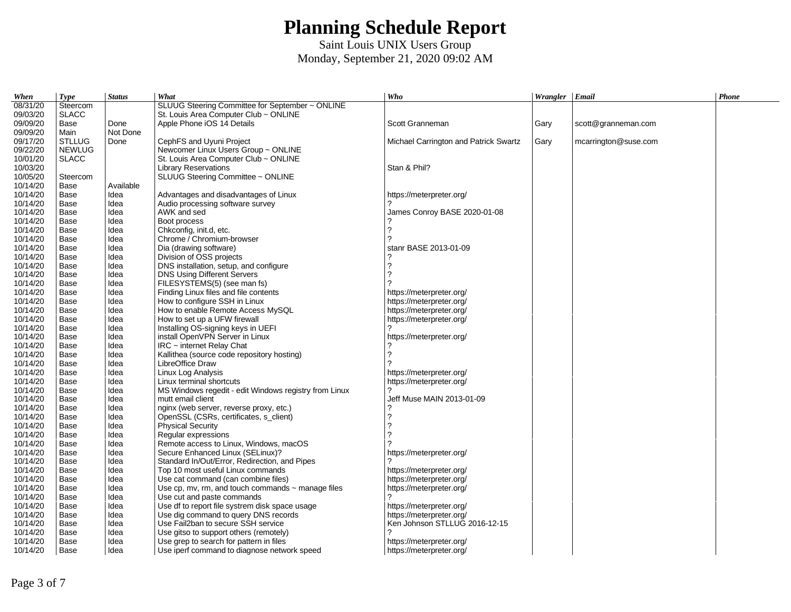| When     | <b>Type</b>   | <b>Status</b> | What                                                   | Who                                   | Wrangler Email |                      | Phone |
|----------|---------------|---------------|--------------------------------------------------------|---------------------------------------|----------------|----------------------|-------|
| 08/31/20 | Steercom      |               | SLUUG Steering Committee for September ~ ONLINE        |                                       |                |                      |       |
| 09/03/20 | <b>SLACC</b>  |               | St. Louis Area Computer Club $\sim$ ONLINE             |                                       |                |                      |       |
| 09/09/20 | Base          | Done          | Apple Phone iOS 14 Details                             | Scott Granneman                       | Gary           | scott@granneman.com  |       |
| 09/09/20 | Main          | Not Done      |                                                        |                                       |                |                      |       |
| 09/17/20 | <b>STLLUG</b> | Done          | CephFS and Uyuni Project                               | Michael Carrington and Patrick Swartz | Gary           | mcarrington@suse.com |       |
| 09/22/20 | <b>NEWLUG</b> |               | Newcomer Linux Users Group ~ ONLINE                    |                                       |                |                      |       |
| 10/01/20 | <b>SLACC</b>  |               | St. Louis Area Computer Club ~ ONLINE                  |                                       |                |                      |       |
| 10/03/20 |               |               | <b>Library Reservations</b>                            | Stan & Phil?                          |                |                      |       |
| 10/05/20 | Steercom      |               | SLUUG Steering Committee ~ ONLINE                      |                                       |                |                      |       |
| 10/14/20 | Base          | Available     |                                                        |                                       |                |                      |       |
| 10/14/20 | Base          | Idea          | Advantages and disadvantages of Linux                  | https://meterpreter.org/              |                |                      |       |
| 10/14/20 | Base          | Idea          | Audio processing software survey                       |                                       |                |                      |       |
| 10/14/20 | Base          | Idea          | AWK and sed                                            | James Conroy BASE 2020-01-08          |                |                      |       |
| 10/14/20 | Base          | Idea          | Boot process                                           |                                       |                |                      |       |
| 10/14/20 | Base          | Idea          | Chkconfig, init.d, etc.                                | 2                                     |                |                      |       |
| 10/14/20 | Base          | Idea          | Chrome / Chromium-browser                              | 2                                     |                |                      |       |
| 10/14/20 | Base          | Idea          | Dia (drawing software)                                 | stanr BASE 2013-01-09                 |                |                      |       |
| 10/14/20 | Base          | Idea          | Division of OSS projects                               |                                       |                |                      |       |
| 10/14/20 | Base          | Idea          | DNS installation, setup, and configure                 | 2                                     |                |                      |       |
| 10/14/20 | Base          | Idea          | <b>DNS Using Different Servers</b>                     | 2                                     |                |                      |       |
| 10/14/20 | Base          | Idea          | FILESYSTEMS(5) (see man fs)                            |                                       |                |                      |       |
| 10/14/20 | Base          | Idea          | Finding Linux files and file contents                  | https://meterpreter.org/              |                |                      |       |
| 10/14/20 | Base          | Idea          | How to configure SSH in Linux                          | https://meterpreter.org/              |                |                      |       |
| 10/14/20 | Base          | Idea          | How to enable Remote Access MySOL                      | https://meterpreter.org/              |                |                      |       |
| 10/14/20 | Base          | Idea          | How to set up a UFW firewall                           | https://meterpreter.org/              |                |                      |       |
| 10/14/20 | Base          | Idea          | Installing OS-signing keys in UEFI                     |                                       |                |                      |       |
| 10/14/20 | Base          | Idea          | install OpenVPN Server in Linux                        | https://meterpreter.org/              |                |                      |       |
| 10/14/20 | Base          | Idea          | $IRC$ ~ internet Relay Chat                            |                                       |                |                      |       |
| 10/14/20 | Base          | Idea          | Kallithea (source code repository hosting)             | 2                                     |                |                      |       |
| 10/14/20 | Base          | Idea          | LibreOffice Draw                                       |                                       |                |                      |       |
| 10/14/20 | Base          | Idea          | Linux Log Analysis                                     | https://meterpreter.org/              |                |                      |       |
| 10/14/20 | Base          | Idea          | Linux terminal shortcuts                               | https://meterpreter.org/              |                |                      |       |
| 10/14/20 | Base          | Idea          | MS Windows regedit - edit Windows registry from Linux  |                                       |                |                      |       |
| 10/14/20 | Base          | Idea          | mutt email client                                      | Jeff Muse MAIN 2013-01-09             |                |                      |       |
| 10/14/20 | Base          | Idea          | nginx (web server, reverse proxy, etc.)                |                                       |                |                      |       |
| 10/14/20 | Base          | Idea          | OpenSSL (CSRs, certificates, s client)                 | 2                                     |                |                      |       |
| 10/14/20 | Base          | Idea          | <b>Physical Security</b>                               | 2                                     |                |                      |       |
| 10/14/20 | Base          | Idea          | Regular expressions                                    |                                       |                |                      |       |
| 10/14/20 | Base          | Idea          | Remote access to Linux, Windows, macOS                 |                                       |                |                      |       |
| 10/14/20 | Base          | Idea          | Secure Enhanced Linux (SELinux)?                       | https://meterpreter.org/              |                |                      |       |
| 10/14/20 | Base          | Idea          | Standard In/Out/Error, Redirection, and Pipes          |                                       |                |                      |       |
| 10/14/20 | Base          | Idea          | Top 10 most useful Linux commands                      | https://meterpreter.org/              |                |                      |       |
| 10/14/20 | Base          | Idea          | Use cat command (can combine files)                    | https://meterpreter.org/              |                |                      |       |
| 10/14/20 | Base          | Idea          | Use cp, mv, rm, and touch commands $\sim$ manage files | https://meterpreter.org/              |                |                      |       |
| 10/14/20 | Base          | Idea          | Use cut and paste commands                             |                                       |                |                      |       |
| 10/14/20 | Base          | Idea          | Use df to report file systrem disk space usage         | https://meterpreter.org/              |                |                      |       |
| 10/14/20 | Base          | Idea          | Use dig command to query DNS records                   | https://meterpreter.org/              |                |                      |       |
| 10/14/20 | Base          | Idea          | Use Fail2ban to secure SSH service                     | Ken Johnson STLLUG 2016-12-15         |                |                      |       |
| 10/14/20 | Base          | Idea          | Use gitso to support others (remotely)                 |                                       |                |                      |       |
| 10/14/20 | Base          | Idea          | Use grep to search for pattern in files                | https://meterpreter.org/              |                |                      |       |
| 10/14/20 | Base          | Idea          | Use iperf command to diagnose network speed            | https://meterpreter.org/              |                |                      |       |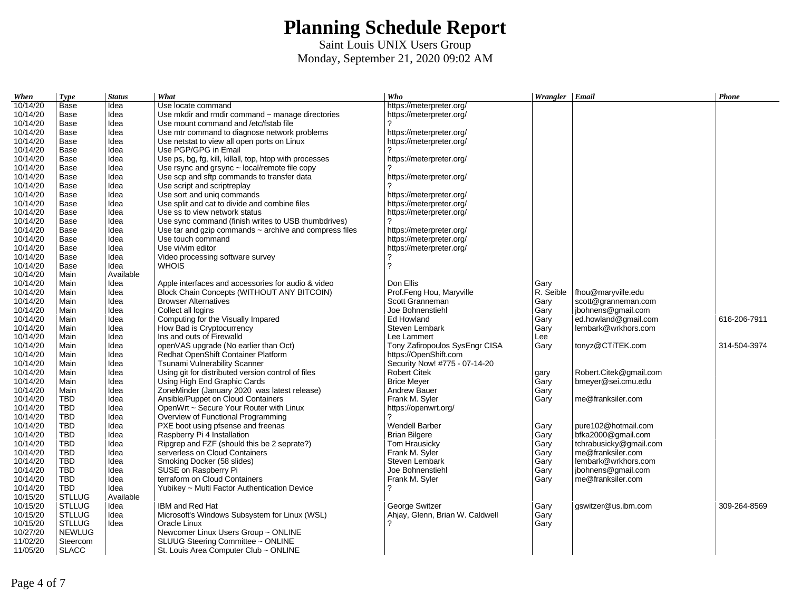| When     | <b>Type</b>   | <b>Status</b> | What                                                        | Who                             | Wrangler Email |                        | Phone        |
|----------|---------------|---------------|-------------------------------------------------------------|---------------------------------|----------------|------------------------|--------------|
| 10/14/20 | Base          | Idea          | Use locate command                                          | https://meterpreter.org/        |                |                        |              |
| 10/14/20 | Base          | Idea          | Use mkdir and rmdir command $\sim$ manage directories       | https://meterpreter.org/        |                |                        |              |
| 10/14/20 | Base          | Idea          | Use mount command and /etc/fstab file                       |                                 |                |                        |              |
| 10/14/20 | Base          | Idea          | Use mtr command to diagnose network problems                | https://meterpreter.org/        |                |                        |              |
| 10/14/20 | Base          | Idea          | Use netstat to view all open ports on Linux                 | https://meterpreter.org/        |                |                        |              |
| 10/14/20 | Base          | Idea          | Use PGP/GPG in Email                                        |                                 |                |                        |              |
| 10/14/20 | Base          | Idea          | Use ps, bg, fg, kill, killall, top, htop with processes     | https://meterpreter.org/        |                |                        |              |
| 10/14/20 | Base          | Idea          | Use rsync and grsync $\sim$ local/remote file copy          |                                 |                |                        |              |
| 10/14/20 | Base          | Idea          | Use scp and sftp commands to transfer data                  | https://meterpreter.org/        |                |                        |              |
| 10/14/20 | Base          | Idea          | Use script and scriptreplay                                 |                                 |                |                        |              |
| 10/14/20 | Base          | Idea          | Use sort and uniq commands                                  | https://meterpreter.org/        |                |                        |              |
| 10/14/20 | Base          | Idea          | Use split and cat to divide and combine files               | https://meterpreter.org/        |                |                        |              |
| 10/14/20 | Base          | Idea          | Use ss to view network status                               | https://meterpreter.org/        |                |                        |              |
| 10/14/20 | Base          | Idea          | Use sync command (finish writes to USB thumbdrives)         |                                 |                |                        |              |
| 10/14/20 | Base          | Idea          | Use tar and gzip commands $\sim$ archive and compress files | https://meterpreter.org/        |                |                        |              |
| 10/14/20 | Base          | Idea          | Use touch command                                           | https://meterpreter.org/        |                |                        |              |
| 10/14/20 | Base          | Idea          | Use vi/vim editor                                           | https://meterpreter.org/        |                |                        |              |
| 10/14/20 | Base          | Idea          | Video processing software survey                            |                                 |                |                        |              |
| 10/14/20 | Base          | Idea          | <b>WHOIS</b>                                                | 2                               |                |                        |              |
| 10/14/20 | Main          | Available     |                                                             |                                 |                |                        |              |
| 10/14/20 | Main          | Idea          | Apple interfaces and accessories for audio & video          | Don Ellis                       | Gary           |                        |              |
| 10/14/20 | Main          | Idea          | Block Chain Concepts (WITHOUT ANY BITCOIN)                  | Prof.Feng Hou, Maryville        | R. Seible      | fhou@maryville.edu     |              |
| 10/14/20 | Main          | Idea          | <b>Browser Alternatives</b>                                 | Scott Granneman                 | Gary           | scott@granneman.com    |              |
| 10/14/20 | Main          | Idea          | Collect all logins                                          | Joe Bohnenstiehl                | Gary           | jbohnens@gmail.com     |              |
| 10/14/20 | Main          | Idea          | Computing for the Visually Impared                          | Ed Howland                      | Gary           | ed.howland@gmail.com   | 616-206-7911 |
| 10/14/20 | Main          | Idea          | How Bad is Cryptocurrency                                   | Steven Lembark                  | Gary           | lembark@wrkhors.com    |              |
| 10/14/20 | Main          | Idea          | Ins and outs of Firewalld                                   | Lee Lammert                     | Lee            |                        |              |
| 10/14/20 | Main          | Idea          | openVAS upgrade (No earlier than Oct)                       | Tony Zafiropoulos SysEngr CISA  | Gary           | tonyz@CTiTEK.com       | 314-504-3974 |
| 10/14/20 | Main          | Idea          | Redhat OpenShift Container Platform                         | https://OpenShift.com           |                |                        |              |
| 10/14/20 | Main          | Idea          | Tsunami Vulnerability Scanner                               | Security Now! #775 - 07-14-20   |                |                        |              |
| 10/14/20 | Main          | Idea          | Using git for distributed version control of files          | <b>Robert Citek</b>             | gary           | Robert.Citek@gmail.com |              |
| 10/14/20 | Main          | Idea          | Using High End Graphic Cards                                | <b>Brice Meyer</b>              | Gary           | bmeyer@sei.cmu.edu     |              |
| 10/14/20 | Main          | Idea          | ZoneMinder (January 2020 was latest release)                | <b>Andrew Bauer</b>             | Gary           |                        |              |
| 10/14/20 | <b>TBD</b>    | Idea          | Ansible/Puppet on Cloud Containers                          | Frank M. Syler                  | Gary           | me@franksiler.com      |              |
| 10/14/20 | <b>TBD</b>    | Idea          | OpenWrt ~ Secure Your Router with Linux                     | https://openwrt.org/            |                |                        |              |
| 10/14/20 | <b>TBD</b>    | Idea          | Overview of Functional Programming                          | っ                               |                |                        |              |
| 10/14/20 | <b>TBD</b>    | Idea          | PXE boot using pfsense and freenas                          | <b>Wendell Barber</b>           | Gary           | pure102@hotmail.com    |              |
| 10/14/20 | <b>TBD</b>    | Idea          | Raspberry Pi 4 Installation                                 | <b>Brian Bilgere</b>            | Garv           | bfka2000@gmail.com     |              |
| 10/14/20 | TBD           | Idea          | Ripgrep and FZF (should this be 2 seprate?)                 | Tom Hrausicky                   | Gary           | tchrabusicky@gmail.com |              |
| 10/14/20 | TBD           | Idea          | serverless on Cloud Containers                              | Frank M. Syler                  | Gary           | me@franksiler.com      |              |
| 10/14/20 | <b>TBD</b>    | Idea          | Smoking Docker (58 slides)                                  | Steven Lembark                  | Gary           | lembark@wrkhors.com    |              |
| 10/14/20 | TBD           | Idea          | SUSE on Raspberry Pi                                        | Joe Bohnenstiehl                | Gary           | jbohnens@gmail.com     |              |
| 10/14/20 | <b>TBD</b>    | Idea          | terraform on Cloud Containers                               | Frank M. Syler                  | Gary           | me@franksiler.com      |              |
| 10/14/20 | <b>TBD</b>    | Idea          | Yubikey ~ Multi Factor Authentication Device                | 2                               |                |                        |              |
| 10/15/20 | <b>STLLUG</b> | Available     |                                                             |                                 |                |                        |              |
| 10/15/20 | <b>STLLUG</b> | Idea          | IBM and Red Hat                                             | George Switzer                  | Gary           | gswitzer@us.ibm.com    | 309-264-8569 |
| 10/15/20 | <b>STLLUG</b> | Idea          | Microsoft's Windows Subsystem for Linux (WSL)               | Ahjay, Glenn, Brian W. Caldwell | Gary           |                        |              |
| 10/15/20 | <b>STLLUG</b> | Idea          | Oracle Linux                                                |                                 | Gary           |                        |              |
| 10/27/20 | <b>NEWLUG</b> |               | Newcomer Linux Users Group ~ ONLINE                         |                                 |                |                        |              |
| 11/02/20 | Steercom      |               | SLUUG Steering Committee ~ ONLINE                           |                                 |                |                        |              |
| 11/05/20 | <b>SLACC</b>  |               | St. Louis Area Computer Club ~ ONLINE                       |                                 |                |                        |              |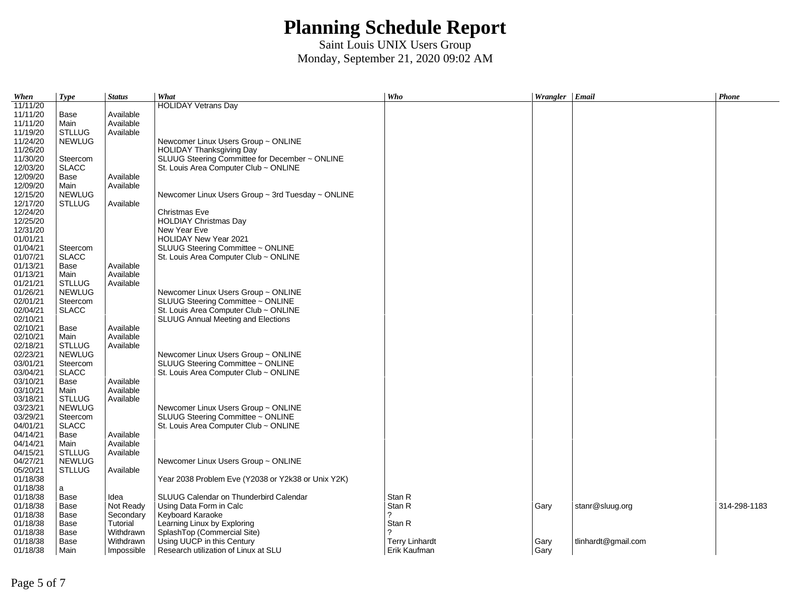| When     | <b>Type</b>   | <b>Status</b> | What                                               | Who                   | Wrangler Email |                     | Phone        |
|----------|---------------|---------------|----------------------------------------------------|-----------------------|----------------|---------------------|--------------|
| 11/11/20 |               |               | <b>HOLIDAY Vetrans Day</b>                         |                       |                |                     |              |
| 11/11/20 | Base          | Available     |                                                    |                       |                |                     |              |
| 11/11/20 | Main          | Available     |                                                    |                       |                |                     |              |
| 11/19/20 | <b>STLLUG</b> | Available     |                                                    |                       |                |                     |              |
| 11/24/20 | <b>NEWLUG</b> |               | Newcomer Linux Users Group ~ ONLINE                |                       |                |                     |              |
| 11/26/20 |               |               | <b>HOLIDAY Thanksgiving Day</b>                    |                       |                |                     |              |
| 11/30/20 | Steercom      |               | SLUUG Steering Committee for December ~ ONLINE     |                       |                |                     |              |
| 12/03/20 | <b>SLACC</b>  |               | St. Louis Area Computer Club ~ ONLINE              |                       |                |                     |              |
| 12/09/20 | Base          | Available     |                                                    |                       |                |                     |              |
| 12/09/20 | Main          | Available     |                                                    |                       |                |                     |              |
| 12/15/20 | <b>NEWLUG</b> |               | Newcomer Linux Users Group ~ 3rd Tuesday ~ ONLINE  |                       |                |                     |              |
| 12/17/20 | <b>STLLUG</b> | Available     |                                                    |                       |                |                     |              |
| 12/24/20 |               |               | Christmas Eve                                      |                       |                |                     |              |
| 12/25/20 |               |               | <b>HOLDIAY Christmas Day</b>                       |                       |                |                     |              |
| 12/31/20 |               |               | New Year Eve                                       |                       |                |                     |              |
| 01/01/21 |               |               | <b>HOLIDAY New Year 2021</b>                       |                       |                |                     |              |
| 01/04/21 | Steercom      |               | SLUUG Steering Committee ~ ONLINE                  |                       |                |                     |              |
| 01/07/21 | <b>SLACC</b>  |               | St. Louis Area Computer Club $\sim$ ONLINE         |                       |                |                     |              |
| 01/13/21 | Base          | Available     |                                                    |                       |                |                     |              |
| 01/13/21 | Main          | Available     |                                                    |                       |                |                     |              |
| 01/21/21 | <b>STLLUG</b> | Available     |                                                    |                       |                |                     |              |
| 01/26/21 | <b>NEWLUG</b> |               | Newcomer Linux Users Group ~ ONLINE                |                       |                |                     |              |
| 02/01/21 | Steercom      |               | SLUUG Steering Committee ~ ONLINE                  |                       |                |                     |              |
| 02/04/21 | <b>SLACC</b>  |               | St. Louis Area Computer Club $\sim$ ONLINE         |                       |                |                     |              |
| 02/10/21 |               |               | <b>SLUUG Annual Meeting and Elections</b>          |                       |                |                     |              |
| 02/10/21 | Base          | Available     |                                                    |                       |                |                     |              |
| 02/10/21 | Main          | Available     |                                                    |                       |                |                     |              |
| 02/18/21 | <b>STLLUG</b> | Available     |                                                    |                       |                |                     |              |
| 02/23/21 | <b>NEWLUG</b> |               | Newcomer Linux Users Group ~ ONLINE                |                       |                |                     |              |
| 03/01/21 | Steercom      |               | SLUUG Steering Committee ~ ONLINE                  |                       |                |                     |              |
| 03/04/21 | <b>SLACC</b>  |               | St. Louis Area Computer Club $\sim$ ONLINE         |                       |                |                     |              |
| 03/10/21 | Base          | Available     |                                                    |                       |                |                     |              |
| 03/10/21 | Main          | Available     |                                                    |                       |                |                     |              |
| 03/18/21 | STLLUG        | Available     |                                                    |                       |                |                     |              |
| 03/23/21 | <b>NEWLUG</b> |               | Newcomer Linux Users Group ~ ONLINE                |                       |                |                     |              |
| 03/29/21 | Steercom      |               | SLUUG Steering Committee ~ ONLINE                  |                       |                |                     |              |
| 04/01/21 | <b>SLACC</b>  |               | St. Louis Area Computer Club ~ ONLINE              |                       |                |                     |              |
| 04/14/21 | Base          | Available     |                                                    |                       |                |                     |              |
| 04/14/21 | Main          | Available     |                                                    |                       |                |                     |              |
| 04/15/21 | STLLUG        | Available     |                                                    |                       |                |                     |              |
| 04/27/21 | <b>NEWLUG</b> |               | Newcomer Linux Users Group ~ ONLINE                |                       |                |                     |              |
| 05/20/21 | <b>STLLUG</b> | Available     |                                                    |                       |                |                     |              |
| 01/18/38 |               |               | Year 2038 Problem Eve (Y2038 or Y2k38 or Unix Y2K) |                       |                |                     |              |
| 01/18/38 | a             |               |                                                    |                       |                |                     |              |
| 01/18/38 | Base          | Idea          | SLUUG Calendar on Thunderbird Calendar             | Stan R                |                |                     |              |
| 01/18/38 | Base          | Not Ready     | Using Data Form in Calc                            | Stan R                | Gary           | stanr@sluug.org     | 314-298-1183 |
| 01/18/38 | Base          | Secondary     | Keyboard Karaoke                                   | 2                     |                |                     |              |
| 01/18/38 | Base          | Tutorial      | Learning Linux by Exploring                        | Stan R                |                |                     |              |
| 01/18/38 | Base          | Withdrawn     | SplashTop (Commercial Site)                        | 2                     |                |                     |              |
| 01/18/38 | Base          | Withdrawn     | Using UUCP in this Century                         | <b>Terry Linhardt</b> | Gary           | tlinhardt@gmail.com |              |
| 01/18/38 | Main          | Impossible    | Research utilization of Linux at SLU               | Erik Kaufman          | Gary           |                     |              |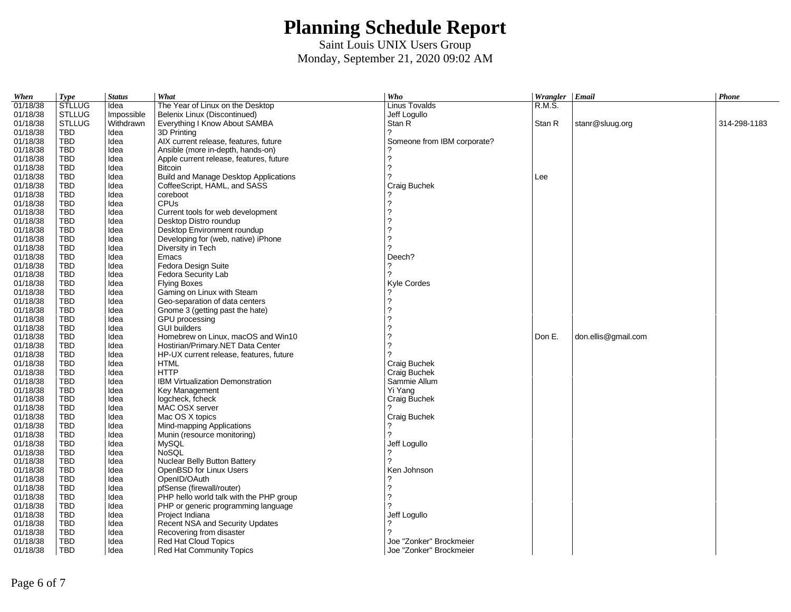| When                 | Type          | <b>Status</b> | What                                       | Who                         | Wrangler Email |                     | Phone        |
|----------------------|---------------|---------------|--------------------------------------------|-----------------------------|----------------|---------------------|--------------|
| 01/18/38             | <b>STLLUG</b> | Idea          | The Year of Linux on the Desktop           | <b>Linus Tovalds</b>        | R.M.S.         |                     |              |
| 01/18/38             | <b>STLLUG</b> | Impossible    | Belenix Linux (Discontinued)               | Jeff Logullo                |                |                     |              |
| 01/18/38             | <b>STLLUG</b> | Withdrawn     | Everything I Know About SAMBA              | Stan R                      | Stan R         | stanr@sluug.org     | 314-298-1183 |
| 01/18/38             | <b>TBD</b>    | Idea          | 3D Printing                                | 2                           |                |                     |              |
| 01/18/38             | <b>TBD</b>    | Idea          | AIX current release, features, future      | Someone from IBM corporate? |                |                     |              |
| 01/18/38             | TBD           | ldea          | Ansible (more in-depth, hands-on)          |                             |                |                     |              |
| 01/18/38             | <b>TBD</b>    | Idea          | Apple current release, features, future    | $\overline{\phantom{0}}$    |                |                     |              |
| 01/18/38             | TBD           | Idea          | <b>Bitcoin</b>                             | 2                           |                |                     |              |
| 01/18/38             | TBD           | Idea          | Build and Manage Desktop Applications      |                             | Lee            |                     |              |
| 01/18/38             | TBD           | Idea          | CoffeeScript, HAML, and SASS               | Craig Buchek                |                |                     |              |
| 01/18/38             | <b>TBD</b>    | Idea          | coreboot                                   |                             |                |                     |              |
| 01/18/38             | <b>TBD</b>    | Idea          | <b>CPUs</b>                                | ?                           |                |                     |              |
| 01/18/38             | TBD           | Idea          | Current tools for web development          | 2                           |                |                     |              |
| 01/18/38             | <b>TBD</b>    | Idea          | Desktop Distro roundup                     | 2                           |                |                     |              |
| 01/18/38             | <b>TBD</b>    | Idea          | Desktop Environment roundup                | 2                           |                |                     |              |
| 01/18/38             | <b>TBD</b>    | Idea          | Developing for (web, native) iPhone        | 2                           |                |                     |              |
| 01/18/38             | TBD           | Idea          | Diversity in Tech                          | $\overline{?}$              |                |                     |              |
| 01/18/38             | TBD           | Idea          | Emacs                                      | Deech?                      |                |                     |              |
| 01/18/38             | <b>TBD</b>    | Idea          | Fedora Design Suite                        | ?                           |                |                     |              |
|                      | TBD           | Idea          |                                            |                             |                |                     |              |
| 01/18/38<br>01/18/38 | <b>TBD</b>    | Idea          | Fedora Security Lab<br><b>Flying Boxes</b> | Kyle Cordes                 |                |                     |              |
|                      | <b>TBD</b>    |               |                                            |                             |                |                     |              |
| 01/18/38             |               | Idea          | Gaming on Linux with Steam                 | $\overline{\phantom{0}}$    |                |                     |              |
| 01/18/38             | <b>TBD</b>    | Idea          | Geo-separation of data centers             | 2                           |                |                     |              |
| 01/18/38             | TBD           | Idea          | Gnome 3 (getting past the hate)            |                             |                |                     |              |
| 01/18/38             | TBD           | ldea          | GPU processing                             | 2                           |                |                     |              |
| 01/18/38             | <b>TBD</b>    | Idea          | <b>GUI builders</b>                        | 2                           |                |                     |              |
| 01/18/38             | TBD           | Idea          | Homebrew on Linux, macOS and Win10         | ?                           | Don E.         | don.ellis@gmail.com |              |
| 01/18/38             | <b>TBD</b>    | Idea          | Hostirian/Primary.NET Data Center          | 2                           |                |                     |              |
| 01/18/38             | <b>TBD</b>    | Idea          | HP-UX current release, features, future    |                             |                |                     |              |
| 01/18/38             | <b>TBD</b>    | Idea          | <b>HTML</b>                                | Craig Buchek                |                |                     |              |
| 01/18/38             | <b>TBD</b>    | Idea          | <b>HTTP</b>                                | Craig Buchek                |                |                     |              |
| 01/18/38             | <b>TBD</b>    | ldea          | IBM Virtualization Demonstration           | Sammie Allum                |                |                     |              |
| 01/18/38             | <b>TBD</b>    | Idea          | Key Management                             | Yi Yang                     |                |                     |              |
| 01/18/38             | TBD           | Idea          | logcheck, fcheck                           | Craig Buchek                |                |                     |              |
| 01/18/38             | <b>TBD</b>    | Idea          | MAC OSX server                             |                             |                |                     |              |
| 01/18/38             | <b>TBD</b>    | Idea          | Mac OS X topics                            | Craig Buchek                |                |                     |              |
| 01/18/38             | <b>TBD</b>    | Idea          | Mind-mapping Applications                  |                             |                |                     |              |
| 01/18/38             | <b>TBD</b>    | Idea          | Munin (resource monitoring)                |                             |                |                     |              |
| 01/18/38             | <b>TBD</b>    | ldea          | MySQL                                      | Jeff Logullo                |                |                     |              |
| 01/18/38             | <b>TBD</b>    | Idea          | NoSQL                                      | ?                           |                |                     |              |
| 01/18/38             | TBD           | Idea          | Nuclear Belly Button Battery               |                             |                |                     |              |
| 01/18/38             | <b>TBD</b>    | Idea          | OpenBSD for Linux Users                    | Ken Johnson                 |                |                     |              |
| 01/18/38             | <b>TBD</b>    | Idea          | OpenID/OAuth                               |                             |                |                     |              |
| 01/18/38             | <b>TBD</b>    | Idea          | pfSense (firewall/router)                  | $\overline{\phantom{0}}$    |                |                     |              |
| 01/18/38             | <b>TBD</b>    | Idea          | PHP hello world talk with the PHP group    |                             |                |                     |              |
| 01/18/38             | TBD           | ldea          | PHP or generic programming language        |                             |                |                     |              |
| 01/18/38             | TBD           | Idea          | Project Indiana                            | Jeff Logullo                |                |                     |              |
| 01/18/38             | TBD           | Idea          | Recent NSA and Security Updates            | ?                           |                |                     |              |
| 01/18/38             | <b>TBD</b>    | Idea          | Recovering from disaster                   |                             |                |                     |              |
| 01/18/38             | TBD           | Idea          | <b>Red Hat Cloud Topics</b>                | Joe "Zonker" Brockmeier     |                |                     |              |
| 01/18/38             | <b>TBD</b>    | Idea          | Red Hat Community Topics                   | Joe "Zonker" Brockmeier     |                |                     |              |